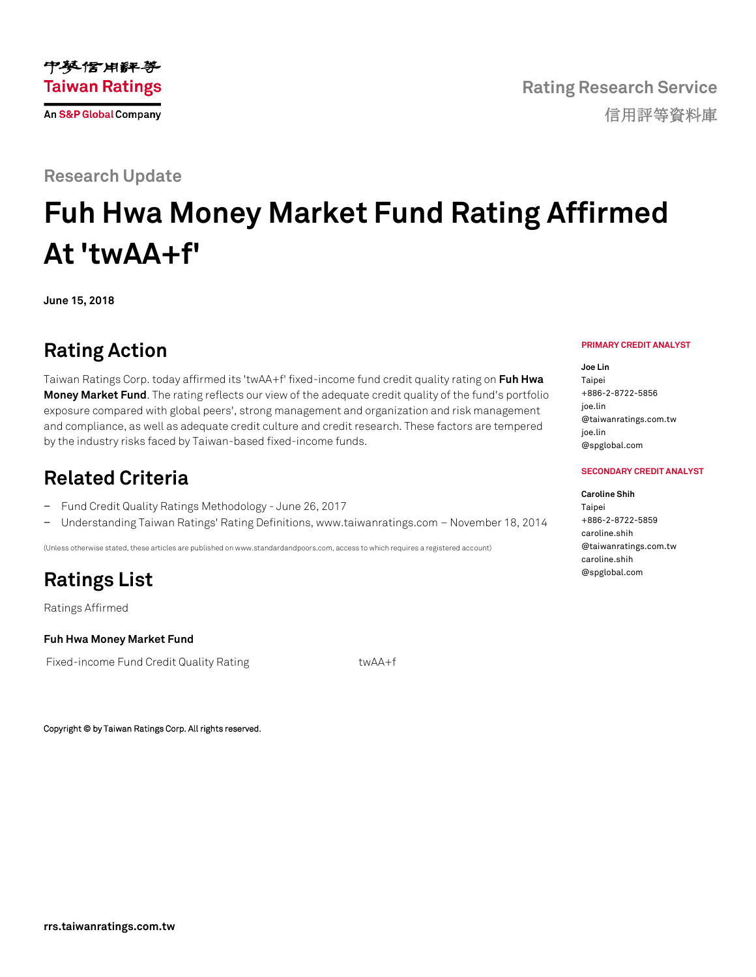

# **Fuh Hwa Money Market Fund Rating Affirmed At 'twAA+f'**

**June 15, 2018**

### **Rating Action**

Taiwan Ratings Corp. today affirmed its 'twAA+f' fixed-income fund credit quality rating on **[Fuh Hwa](https://rrs.taiwanratings.com.tw/portal/member/viewFund/533)  [Money Market Fund](https://rrs.taiwanratings.com.tw/portal/member/viewFund/533)**. The rating reflects our view of the adequate credit quality of the fund's portfolio exposure compared with global peers', strong management and organization and risk management and compliance, as well as adequate credit culture and credit research. These factors are tempered by the industry risks faced by Taiwan-based fixed-income funds.

### **Related Criteria**

- − Fund Credit Quality Ratings Methodology June 26, 2017
- − Understanding Taiwan Ratings' Rating Definitions, www.taiwanratings.com November 18, 2014

(Unless otherwise stated, these articles are published on www.standardandpoors.com, access to which requires a registered account)

## **Ratings List**

Ratings Affirmed

**Fuh Hwa Money Market Fund**

Fixed-income Fund Credit Quality Rating twa twAA+f

Copyright © by Taiwan Ratings Corp. All rights reserved.

#### **PRIMARY CREDIT ANALYST**

**Joe Lin** Taipei +886-2-8722-5856 joe.lin @taiwanratings.com.tw joe.lin @spglobal.com

#### **SECONDARY CREDIT ANALYST**

**Caroline Shih**

Taipei +886-2-8722-5859 caroline.shih @taiwanratings.com.tw caroline.shih @spglobal.com